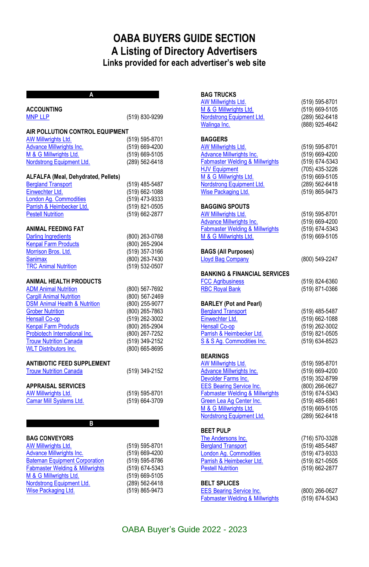## **OABA BUYERS GUIDE SECTION A Listing of Directory Advertisers Links provided for each advertiser's web site**

| <b>ACCOUNTING</b>                                   |                                  |
|-----------------------------------------------------|----------------------------------|
| <b>MNP LLP</b>                                      | (519) 830-9299                   |
|                                                     |                                  |
| AIR POLLUTION CONTROL EQUIPMENT                     |                                  |
| AW Millwrights Ltd.                                 | (519) 595-8701                   |
| <b>Advance Millwrights Inc.</b>                     | (519) 669-4200                   |
| M & G Millwrights Ltd.<br>Nordstrong Equipment Ltd. | (519) 669-5105<br>(289) 562-6418 |
|                                                     |                                  |
| ALFALFA (Meal, Dehydrated, Pellets)                 |                                  |
| <b>Bergland Transport</b>                           | (519) 485-5487                   |
| Einwechter Ltd.                                     | (519) 662-1088                   |
| London Ag. Commodities                              | (519) 473-9333                   |
| Parrish & Heimbecker Ltd.                           | (519) 821-0505                   |
| <b>Pestell Nutrition</b>                            | (519) 662-2877                   |
| <b>ANIMAL FEEDING FAT</b>                           |                                  |
| <b>Darling Ingredients</b>                          | (800) 263-0768                   |
| <b>Kenpal Farm Products</b>                         | (800) 265-2904                   |
| Morrison Bros. Ltd.                                 | (519) 357-3166                   |
| <b>Sanimax</b>                                      | (800) 263-7430                   |
| <b>TRC Animal Nutrition</b>                         | (519) 532-0507                   |
|                                                     |                                  |
| <b>ANIMAL HEALTH PRODUCTS</b>                       |                                  |
| <b>ADM Animal Nutrition</b>                         | (800) 567-7692                   |
| <b>Cargill Animal Nutrition</b>                     | (800) 567-2469                   |
| <b>DSM Animal Health &amp; Nutrition</b>            | (800) 255-9077                   |
| <b>Grober Nutrition</b>                             | (800) 265-7863                   |
| <b>Hensall Co-op</b>                                | (519) 262-3002                   |
| <b>Kenpal Farm Products</b>                         | (800) 265-2904                   |
| Probiotech International Inc.                       | (800) 267-7252                   |
| <b>Trouw Nutrition Canada</b>                       | (519) 349-2152<br>(800) 665-8695 |
| <b>WLT Distributors Inc.</b>                        |                                  |
| <b>ANTIBIOTIC FEED SUPPLEMENT</b>                   |                                  |
| <b>Trouw Nutrition Canada</b>                       | (519) 349-2152                   |
| <b>APPRAISAL SERVICES</b>                           |                                  |
| AW Millwrights Ltd.                                 | (519) 595-8701                   |
| Camar Mill Systems Ltd.                             | (519) 664-3709                   |
|                                                     |                                  |
|                                                     |                                  |
| B                                                   |                                  |
| <b>BAG CONVEYORS</b>                                |                                  |
| AW Millwrights Ltd.                                 | (519) 595-8701                   |
| Advance Millwrights Inc.                            | (519) 669-4200                   |
| <b>Bateman Equipment Corporation</b>                | (519) 595-8786                   |
| <b>Fabmaster Welding &amp; Millwrights</b>          | (519) 674-5343                   |
| M & G Millwrights Ltd.                              | (519) 669-5105                   |

[Nordstrong Equipment Ltd.](http://www.nordstrongequipment.com/en/) (289) 562-6418 [Wise Packaging Ltd.](http://www.wisepackaging.com/) (519) 865-9473

#### **BAG TRUCKS**

| AW Millwrights Ltd.<br>M & G Millwrights Ltd.<br>Nordstrong Equipment Ltd.<br>Walinga Inc.                                                                                                                                                                           | (519) 595-8701<br>(519) 669-5105<br>(289) 562-6418<br>(888) 925-4642                                                                         |
|----------------------------------------------------------------------------------------------------------------------------------------------------------------------------------------------------------------------------------------------------------------------|----------------------------------------------------------------------------------------------------------------------------------------------|
| <b>BAGGERS</b><br><b>AW Millwrights Ltd.</b><br><b>Advance Millwrights Inc.</b><br><b>Fabmaster Welding &amp; Millwrights</b><br><b>HJV Equipment</b><br>M & G Millwrights Ltd.<br>Nordstrong Equipment Ltd.<br>Wise Packaging Ltd.                                  | (519) 595-8701<br>(519) 669-4200<br>(519) 674-5343<br>(705) 435-3226<br>(519) 669-5105<br>(289) 562-6418<br>(519) 865-9473                   |
| <b>BAGGING SPOUTS</b><br>AW Millwrights Ltd.<br><b>Advance Millwrights Inc.</b><br><b>Fabmaster Welding &amp; Millwrights</b><br>M & G Millwrights Ltd.                                                                                                              | (519) 595-8701<br>(519) 669-4200<br>(519) 674-5343<br>(519) 669-5105                                                                         |
| <b>BAGS (All Purposes)</b><br><b>Lloyd Bag Company</b>                                                                                                                                                                                                               | (800) 549-2247                                                                                                                               |
| <b>BANKING &amp; FINANCIAL SERVICES</b><br><b>FCC Agribusiness</b><br><b>RBC Royal Bank</b>                                                                                                                                                                          | (519) 824-6360<br>(519) 871-0366                                                                                                             |
| <b>BARLEY (Pot and Pearl)</b><br><b>Bergland Transport</b><br>Einwechter Ltd.<br><b>Hensall Co-op</b><br>Parrish & Heimbecker Ltd.<br>S & S Aq. Commodities Inc.                                                                                                     | (519) 485-5487<br>(519) 662-1088<br>(519) 262-3002<br>(519) 821-0505<br>(519) 634-8523                                                       |
| <b>BEARINGS</b><br>AW Millwrights Ltd.<br><b>Advance Millwrights Inc.</b><br>Devolder Farms Inc.<br><b>EES Bearing Service Inc.</b><br><b>Fabmaster Welding &amp; Millwrights</b><br>Green Lea Ag Center Inc.<br>M & G Millwrights Ltd.<br>Nordstrong Equipment Ltd. | (519) 595-8701<br>(519) 669-4200<br>(519) 352-8799<br>(800) 266-0627<br>(519) 674-5343<br>(519) 485-6861<br>(519) 669-5105<br>(289) 562-6418 |
| <b>BEET PULP</b><br>The Andersons Inc.<br><b>Bergland Transport</b><br><b>London Ag. Commodities</b><br>Parrish & Heimbecker Ltd.<br><b>Pestell Nutrition</b>                                                                                                        | (716) 570-3328<br>(519) 485-5487<br>(519) 473-9333<br>(519) 821-0505<br>(519) 662-2877                                                       |
| <b>BELT SPLICES</b><br><b>EES Bearing Service Inc.</b><br><b>Fabmaster Welding &amp; Millwrights</b>                                                                                                                                                                 | (800) 266-0627<br>(519) 674-5343                                                                                                             |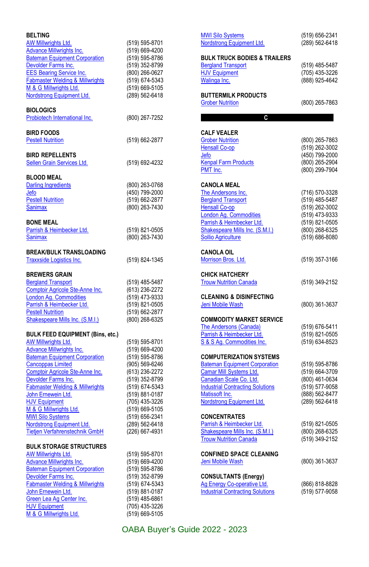| <b>BELTING</b><br><u>AW Millwrights Ltd.</u><br>Advance Millwrights Inc.<br><b>Bateman Equipment Corporation</b><br>Devolder Farms Inc.<br><b>EES Bearing Service Inc.</b><br><b>Fabmaster Welding &amp; Millwrights</b><br>M & G Millwrights Ltd.<br>Nordstrong Equipment Ltd.                                                                                                                                                                        | (519) 595-8701<br>(519) 669-4200<br>(519) 595-8786<br>(519) 352-8799<br>(800) 266-0627<br>(519) 674-5343<br>(519) 669-5105<br>(289) 562-6418                                                                                           |
|--------------------------------------------------------------------------------------------------------------------------------------------------------------------------------------------------------------------------------------------------------------------------------------------------------------------------------------------------------------------------------------------------------------------------------------------------------|----------------------------------------------------------------------------------------------------------------------------------------------------------------------------------------------------------------------------------------|
| <b>BIOLOGICS</b><br>Probiotech International Inc.                                                                                                                                                                                                                                                                                                                                                                                                      | (800) 267-7252                                                                                                                                                                                                                         |
| <b>BIRD FOODS</b><br><b>Pestell Nutrition</b>                                                                                                                                                                                                                                                                                                                                                                                                          | (519) 662-2877                                                                                                                                                                                                                         |
| <b>BIRD REPELLENTS</b><br><b>Sellen Grain Services Ltd.</b>                                                                                                                                                                                                                                                                                                                                                                                            | (519) 692-4232                                                                                                                                                                                                                         |
| <b>BLOOD MEAL</b><br><b>Darling Ingredients</b><br>Jefo<br><b>Pestell Nutrition</b><br><b>Sanimax</b><br><b>BONE MEAL</b>                                                                                                                                                                                                                                                                                                                              | (800) 263-0768<br>(450) 799-2000<br>(519) 662-2877<br>(800) 263-7430                                                                                                                                                                   |
| Parrish & Heimbecker Ltd.<br>Sanimax                                                                                                                                                                                                                                                                                                                                                                                                                   | (519) 821-0505<br>(800) 263-7430                                                                                                                                                                                                       |
| <b>BREAK/BULK TRANSLOADING</b><br>Traxxside Logistics Inc.                                                                                                                                                                                                                                                                                                                                                                                             | (519) 824-1345                                                                                                                                                                                                                         |
| <b>BREWERS GRAIN</b><br><b>Bergland Transport</b><br>Comptoir Agricole Ste-Anne Inc.<br><b>London Ag. Commodities</b><br>Parrish & Heimbecker Ltd.<br><b>Pestell Nutrition</b><br>Shakespeare Mills Inc. (S.M.I.)                                                                                                                                                                                                                                      | (519) 485-5487<br>(613) 236-2272<br>(519) 473-9333<br>(519) 821-0505<br>(519) 662-2877<br>(800) 268-6325                                                                                                                               |
| <b>BULK FEED EQUIPMENT (Bins, etc.)</b><br>AW Millwrights Ltd.<br><b>Advance Millwrights Inc.</b><br><b>Bateman Equipment Corporation</b><br><b>Cancoppas Limited</b><br>Comptoir Agricole Ste-Anne Inc.<br>Devolder Farms Inc.<br><b>Fabmaster Welding &amp; Millwrights</b><br>John Ernewein Ltd.<br><b>HJV Equipment</b><br>M & G Millwrights Ltd.<br><b>MWI Silo Systems</b><br>Nordstrong Equipment Ltd.<br><b>Tietjen Verfahrenstechnik GmbH</b> | (519) 595-8701<br>(519) 669-4200<br>(519) 595-8786<br>(905) 569-6246<br>(613) 236-2272<br>(519) 352-8799<br>(519) 674-5343<br>(519) 881-0187<br>(705) 435-3226<br>(519) 669-5105<br>(519) 656-2341<br>(289) 562-6418<br>(226) 667-4931 |
| <b>BULK STORAGE STRUCTURES</b><br><b>AW Millwrights Ltd.</b><br><b>Advance Millwrights Inc.</b><br><b>Bateman Equipment Corporation</b><br>Devolder Farms Inc.<br><b>Fabmaster Welding &amp; Millwrights</b><br>John Ernewein Ltd.<br>Green Lea Ag Center Inc.<br><b>HJV Equipment</b><br>M & G Millwrights Ltd.                                                                                                                                       | (519) 595-8701<br>(519) 669-4200<br>(519) 595-8786<br>(519) 352-8799<br>(519) 674-5343<br>(519) 881-0187<br>(519) 485-6861<br>(705) 435-3226<br>(519) 669-5105                                                                         |

| <b>MWI Silo Systems</b><br>Nordstrong Equipment Ltd.                                                                                                                                                                          | (519) 656-2341<br>(289) 562-6418                                                                                           |
|-------------------------------------------------------------------------------------------------------------------------------------------------------------------------------------------------------------------------------|----------------------------------------------------------------------------------------------------------------------------|
| <b>BULK TRUCK BODIES &amp; TRAILERS</b><br><b>Bergland Transport</b><br><b>HJV Equipment</b><br>Walinga Inc.                                                                                                                  | (519) 485-5487<br>(705) 435-3226<br>(888) 925-4642                                                                         |
| <b>BUTTERMILK PRODUCTS</b><br><b>Grober Nutrition</b>                                                                                                                                                                         | (800) 265-7863                                                                                                             |
| C                                                                                                                                                                                                                             |                                                                                                                            |
| <b>CALF VEALER</b><br><b>Grober Nutrition</b><br><b>Hensall Co-op</b><br>Jefo<br><b>Kenpal Farm Products</b><br>PMT Inc.                                                                                                      | (800) 265-7863<br>(519) 262-3002<br>(450) 799-2000<br>(800) 265-2904<br>(800) 299-7904                                     |
| <b>CANOLA MEAL</b><br>The Andersons Inc.<br><b>Bergland Transport</b><br><b>Hensall Co-op</b><br>London Aq. Commodities<br>Parrish & Heimbecker Ltd.<br>Shakespeare Mills Inc. (S.M.I.)<br><b>Sollio Agriculture</b>          | (716) 570-3328<br>(519) 485-5487<br>(519) 262-3002<br>(519) 473-9333<br>(519) 821-0505<br>(800) 268-6325<br>(519) 686-8080 |
| <b>CANOLA OIL</b><br>Morrison Bros. Ltd.                                                                                                                                                                                      | (519) 357-3166                                                                                                             |
| <b>CHICK HATCHERY</b><br><b>Trouw Nutrition Canada</b>                                                                                                                                                                        | (519) 349-2152                                                                                                             |
| <b>CLEANING &amp; DISINFECTING</b><br>Jeni Mobile Wash                                                                                                                                                                        | (800) 361-3637                                                                                                             |
| <b>COMMODITY MARKET SERVICE</b><br>The Andersons (Canada)<br>Parrish & Heimbecker Ltd.<br>S & S Ag. Commodities Inc.                                                                                                          | (519) 676-5411<br>(519) 821-0505<br>(519) 634-8523                                                                         |
| <b>COMPUTERIZATION SYSTEMS</b><br><b>Bateman Equipment Corporation</b><br>Camar Mill Systems Ltd.<br>Canadian Scale Co. Ltd.<br><b>Industrial Contracting Solutions</b><br>Matissoft Inc.<br><b>Nordstrong Equipment Ltd.</b> | (519) 595-8786<br>(519) 664-3709<br>(800) 461-0634<br>(519) 577-9058<br>(888) 562-8477<br>(289) 562-6418                   |
| <b>CONCENTRATES</b><br>Parrish & Heimbecker Ltd.<br>Shakespeare Mills Inc. (S.M.I.)<br><b>Trouw Nutrition Canada</b>                                                                                                          | (519) 821-0505<br>(800) 268-6325<br>(519) 349-2152                                                                         |
| <b>CONFINED SPACE CLEANING</b><br>Jeni Mobile Wash                                                                                                                                                                            | (800) 361-3637                                                                                                             |
| <b>CONSULTANTS (Energy)</b><br>Ag Energy Co-operative Ltd.<br><b>Industrial Contracting Solutions</b>                                                                                                                         | (866) 818-8828<br>(519) 577-9058                                                                                           |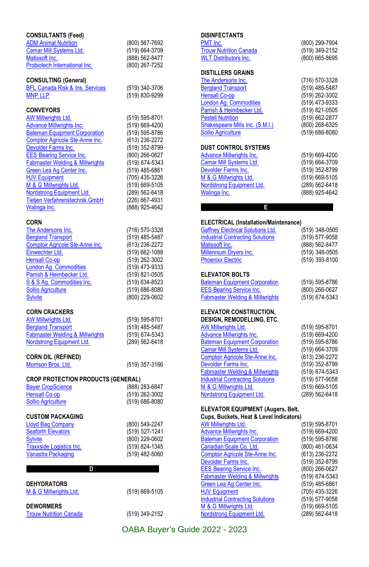| <b>CONSULTANTS (Feed)</b>                        |                |
|--------------------------------------------------|----------------|
| <b>ADM Animal Nutrition</b>                      | (800) 567-7692 |
| <b>Camar Mill Systems Ltd.</b>                   | (519) 664-3709 |
| Matissoft Inc.                                   | (888) 562-8477 |
| Probiotech International Inc.                    | (800) 267-7252 |
|                                                  |                |
| <b>CONSULTING (General)</b>                      |                |
| <b>BFL Canada Risk &amp; Ins. Services</b>       | (519) 340-3706 |
| <b>MNP LLP</b>                                   | (519) 830-9299 |
|                                                  |                |
| <b>CONVEYORS</b>                                 |                |
| AW Millwrights Ltd.                              | (519) 595-8701 |
| <b>Advance Millwrights Inc.</b>                  | (519) 669-4200 |
| <b>Bateman Equipment Corporation</b>             | (519) 595-8786 |
| Comptoir Agricole Ste-Anne Inc.                  | (613) 236-2272 |
| Devolder Farms Inc.                              | (519) 352-8799 |
| <b>EES Bearing Service Inc.</b>                  | (800) 266-0627 |
| <b>Fabmaster Welding &amp; Millwrights</b>       | (519) 674-5343 |
| Green Lea Ag Center Inc.                         | (519) 485-6861 |
| <b>HJV Equipment</b>                             | (705) 435-3226 |
| M & G Millwrights Ltd.                           | (519) 669-5105 |
| Nordstrong Equipment Ltd.                        | (289) 562-6418 |
|                                                  |                |
| Tietjen Verfahrenstechnik GmbH                   | (226) 667-4931 |
| <b>Walinga Inc.</b>                              | (888) 925-4642 |
| <b>CORN</b>                                      |                |
| The Andersons Inc.                               | (716) 570-3328 |
| <b>Bergland Transport</b>                        | (519) 485-5487 |
|                                                  |                |
| Comptoir Agricole Ste-Anne Inc.                  | (613) 236-2272 |
| Einwechter Ltd.                                  | (519) 662-1088 |
| <b>Hensall Co-op</b>                             | (519) 262-3002 |
| London Aq. Commodities                           | (519) 473-9333 |
| Parrish & Heimbecker Ltd.                        | (519) 821-0505 |
| S & S Aq. Commodities Inc.                       | (519) 634-8523 |
| <b>Sollio Agriculture</b>                        | (519) 686-8080 |
| <b>Sylvite</b>                                   | (800) 229-0602 |
|                                                  |                |
| <b>CORN CRACKERS</b>                             |                |
| AW Millwrights Ltd.                              | (519) 595-8701 |
| <b>Bergland Transport</b>                        | (519) 485-5487 |
| <b>Fabmaster Welding &amp; Millwrights</b>       | (519) 674-5343 |
| Nordstrong Equipment Ltd.                        | (289) 562-6418 |
|                                                  |                |
| <b>CORN OIL (REFINED)</b><br>Morrison Bros. Ltd. |                |
|                                                  | (519) 357-3166 |
| <b>CROP PROTECTION PRODUCTS (GENERAL)</b>        |                |
|                                                  |                |
|                                                  |                |
| <b>Bayer CropScience</b>                         | (888) 283-6847 |
| <b>Hensall Co-op</b>                             | (519) 262-3002 |
| <b>Sollio Agriculture</b>                        | (519) 686-8080 |
| <b>CUSTOM PACKAGING</b>                          |                |
| <b>Lloyd Bag Company</b>                         |                |
|                                                  | (800) 549-2247 |
| <b>Seaforth Elevators</b>                        | (519) 527-1241 |
| <b>Sylvite</b>                                   | (800) 229-0602 |
| Traxxside Logistics Inc.                         | (519) 824-1345 |
| Vanastra Packaging                               | (519) 482-5060 |
| D                                                |                |
|                                                  |                |
| DEHYDRATORS                                      |                |
| M & G Millwrights Ltd.                           | (519) 669-5105 |
|                                                  |                |
| <b>DEWORMERS</b>                                 |                |
| <b>Trouw Nutrition Canada</b>                    | (519) 349-2152 |

#### **DISINFECTANTS**

| PMT Inc.                        | (800) 299-7904 |
|---------------------------------|----------------|
| <b>Trouw Nutrition Canada</b>   | (519) 349-2152 |
| <b>WLT Distributors Inc.</b>    | (800) 665-8695 |
| <b>DISTILLERS GRAINS</b>        |                |
| The Andersons Inc.              | (716) 570-3328 |
| <b>Bergland Transport</b>       | (519) 485-5487 |
| <b>Hensall Co-op</b>            | (519) 262-3002 |
| London Ag. Commodities          | (519) 473-9333 |
| Parrish & Heimbecker Ltd.       | (519) 821-0505 |
| <b>Pestell Nutrition</b>        | (519) 662-2877 |
| Shakespeare Mills Inc. (S.M.I.) | (800) 268-6325 |
| <b>Sollio Agriculture</b>       | (519) 686-8080 |
| <b>DUST CONTROL SYSTEMS</b>     |                |
| <b>Advance Millwrights Inc.</b> | (519) 669-4200 |
| Camar Mill Systems Ltd.         | (519) 664-3709 |
| Devolder Farms Inc.             | (519) 352-8799 |
| M & G Millwrights Ltd.          | (519) 669-5105 |
| Nordstrong Equipment Ltd.       | (289) 562-6418 |
| Walinga Inc.                    | (888) 925-4642 |
|                                 |                |
| E                               |                |

#### **ELECTRICAL (Installation/Maintenance)**

| <b>Gaffney Electrical Solutions Ltd.</b><br><b>Industrial Contracting Solutions</b><br>Matissoft Inc.<br>Millennium Dryers Inc. | (519) 348-0505<br>(519) 577-9058<br>(888) 562-8477<br>(519) 348-0505 |
|---------------------------------------------------------------------------------------------------------------------------------|----------------------------------------------------------------------|
| <b>Phoenixx Electric</b><br><b>ELEVATOR BOLTS</b>                                                                               | (519) 393-8100                                                       |
| <b>Bateman Equipment Corporation</b>                                                                                            | (519) 595-8786                                                       |
| <b>EES Bearing Service Inc.</b><br><b>Fabmaster Welding &amp; Millwrights</b>                                                   | (800) 266-0627<br>(519) 674-5343                                     |
| <b>ELEVATOR CONSTRUCTION.</b><br><b>DESIGN, REMODELLING, ETC.</b>                                                               |                                                                      |
| AW Millwrights Ltd.                                                                                                             | (519) 595-8701                                                       |
| <b>Advance Millwrights Inc.</b>                                                                                                 | (519) 669-4200                                                       |
| <b>Bateman Equipment Corporation</b>                                                                                            | (519) 595-8786                                                       |
| Camar Mill Systems Ltd.                                                                                                         | (519) 664-3709                                                       |
| Comptoir Agricole Ste-Anne Inc.                                                                                                 | (613) 236-2272                                                       |
| Devolder Farms Inc.                                                                                                             | (519) 352-8799                                                       |
| <b>Fabmaster Welding &amp; Millwrights</b>                                                                                      | (519) 674-5343                                                       |
| <b>Industrial Contracting Solutions</b>                                                                                         | (519) 577-9058                                                       |
| M & G Millwrights Ltd.                                                                                                          | (519) 669-5105                                                       |
| Nordstrong Equipment Ltd.                                                                                                       | (289) 562-6418                                                       |

### **ELEVATOR EQUIPMENT (Augers, Belt,**

| Cups, Buckets, Heat & Level Indicators)    |                |
|--------------------------------------------|----------------|
| AW Millwrights Ltd.                        | (519) 595-8701 |
| <b>Advance Millwrights Inc.</b>            | (519) 669-4200 |
| <b>Bateman Equipment Corporation</b>       | (519) 595-8786 |
| Canadian Scale Co. Ltd.                    | (800) 461-0634 |
| Comptoir Agricole Ste-Anne Inc.            | (613) 236-2272 |
| Devolder Farms Inc.                        | (519) 352-8799 |
| <b>EES Bearing Service Inc.</b>            | (800) 266-0627 |
| <b>Fabmaster Welding &amp; Millwrights</b> | (519) 674-5343 |
| Green Lea Ag Center Inc.                   | (519) 485-6861 |
| <b>HJV Equipment</b>                       | (705) 435-3226 |
| <b>Industrial Contracting Solutions</b>    | (519) 577-9058 |
| M & G Millwrights Ltd.                     | (519) 669-5105 |
| Nordstrong Equipment Ltd.                  | (289) 562-6418 |
|                                            |                |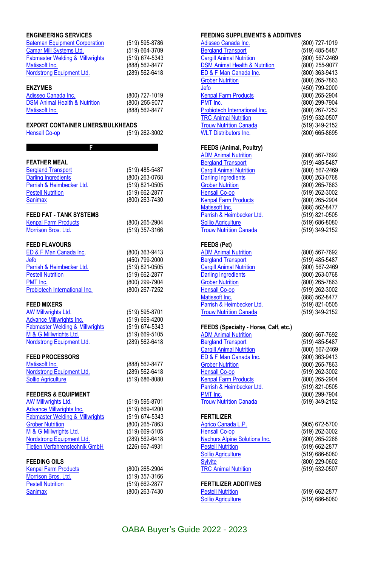| <b>ENGINEERING SERVICES</b><br><b>Bateman Equipment Corporation</b><br>Camar Mill Systems Ltd.<br><b>Fabmaster Welding &amp; Millwrights</b><br>Matissoft Inc.<br>Nordstrong Equipment Ltd.<br><b>ENZYMES</b><br>Adisseo Canada Inc.<br><b>DSM Animal Health &amp; Nutrition</b><br>Matissoft Inc. | (519) 595-8786<br>(519) 664-3709<br>(519) 674-5343<br>(888) 562-8477<br>(289) 562-6418<br>(800) 727-1019<br>(800) 255-9077<br>(888) 562-8477 |
|----------------------------------------------------------------------------------------------------------------------------------------------------------------------------------------------------------------------------------------------------------------------------------------------------|----------------------------------------------------------------------------------------------------------------------------------------------|
| <b>EXPORT CONTAINER LINERS/BULKHEADS</b><br><b>Hensall Co-op</b>                                                                                                                                                                                                                                   | (519) 262-3002                                                                                                                               |
| F.                                                                                                                                                                                                                                                                                                 |                                                                                                                                              |
| <b>FEATHER MEAL</b><br><b>Bergland Transport</b><br><b>Darling Ingredients</b><br>Parrish & Heimbecker Ltd.<br><b>Pestell Nutrition</b><br><b>Sanimax</b>                                                                                                                                          | (519) 485-5487<br>(800) 263-0768<br>(519) 821-0505<br>(519) 662-2877<br>(800) 263-7430                                                       |
| <b>FEED FAT - TANK SYSTEMS</b><br><b>Kenpal Farm Products</b><br>Morrison Bros. Ltd.                                                                                                                                                                                                               | (800) 265-2904<br>(519) 357-3166                                                                                                             |
| <b>FEED FLAVOURS</b><br>ED & F Man Canada Inc.<br>Jefo<br>Parrish & Heimbecker Ltd.<br><b>Pestell Nutrition</b><br>PMT Inc.<br>Probiotech International Inc.                                                                                                                                       | (800) 363-9413<br>(450) 799-2000<br>(519) 821-0505<br>(519) 662-2877<br>(800) 299-7904<br>(800) 267-7252                                     |
| <b>FEED MIXERS</b><br><b>AW Millwrights Ltd.</b><br><b>Advance Millwrights Inc.</b><br><b>Fabmaster Welding &amp; Millwrights</b><br>M & G Millwrights Ltd.<br><b>Nordstrong Equipment Ltd.</b>                                                                                                    | (519) 595-8701<br>(519) 669-4200<br>(519) 674-5343<br>(519) 669-5105<br>(289) 562-6418                                                       |
| <b>FEED PROCESSORS</b><br>Matissoft Inc.<br>Nordstrong Equipment Ltd.<br><b>Sollio Agriculture</b>                                                                                                                                                                                                 | (888) 562-8477<br>(289) 562-6418<br>$(519)$ 686-8080                                                                                         |
| <b>FEEDERS &amp; EQUIPMENT</b><br>AW Millwrights Ltd.<br>Advance Millwrights Inc.<br><b>Fabmaster Welding &amp; Millwrights</b><br><b>Grober Nutrition</b><br>M & G Millwrights Ltd.<br>Nordstrong Equipment Ltd.<br>Tietjen Verfahrenstechnik GmbH                                                | (519) 595-8701<br>(519) 669-4200<br>(519) 674-5343<br>(800) 265-7863<br>(519) 669-5105<br>(289) 562-6418<br>(226) 667-4931                   |
| <b>FEEDING OILS</b><br><b>Kenpal Farm Products</b><br>Morrison Bros. Ltd.<br><b>Pestell Nutrition</b><br><b>Sanimax</b>                                                                                                                                                                            | (800) 265-2904<br>(519) 357-3166<br>(519) 662-2877<br>(800) 263-7430                                                                         |

#### **FEEDING SUPPLEMENTS & ADDITIVES**

| Adisseo Canada Inc.<br><b>Bergland Transport</b><br><b>Cargill Animal Nutrition</b><br><b>DSM Animal Health &amp; Nutrition</b><br>ED & F Man Canada Inc.<br><b>Grober Nutrition</b><br><u>Jefo</u><br><b>Kenpal Farm Products</b><br>PMT Inc.<br>Probiotech International Inc.<br><b>TRC Animal Nutrition</b><br><b>Trouw Nutrition Canada</b><br><b>WLT Distributors Inc.</b> | (800) 727-1019<br>(519) 485-5487<br>(800) 567-2469<br>(800) 255-9077<br>(800) 363-9413<br>(800) 265-7863<br>(450) 799-2000<br>(800) 265-2904<br>(800) 299-7904<br>(800) 267-7252<br>(519) 532-0507<br>(519) 349-2152<br>(800) 665-8695 |
|---------------------------------------------------------------------------------------------------------------------------------------------------------------------------------------------------------------------------------------------------------------------------------------------------------------------------------------------------------------------------------|----------------------------------------------------------------------------------------------------------------------------------------------------------------------------------------------------------------------------------------|
| <b>FEEDS (Animal, Poultry)</b><br><b>ADM Animal Nutrition</b><br><b>Bergland Transport</b><br><b>Cargill Animal Nutrition</b><br><b>Darling Ingredients</b><br><b>Grober Nutrition</b><br><b>Hensall Co-op</b><br><b>Kenpal Farm Products</b><br>Matissoft Inc.<br>Parrish & Heimbecker Ltd.<br><b>Sollio Agriculture</b><br><b>Trouw Nutrition Canada</b>                      | (800) 567-7692<br>(519) 485-5487<br>(800) 567-2469<br>(800) 263-0768<br>(800) 265-7863<br>(519) 262-3002<br>(800) 265-2904<br>(888) 562-8477<br>(519) 821-0505<br>(519) 686-8080<br>(519) 349-2152                                     |
| FEEDS (Pet)<br><b>ADM Animal Nutrition</b><br><b>Bergland Transport</b><br><b>Cargill Animal Nutrition</b><br><b>Darling Ingredients</b><br><b>Grober Nutrition</b><br><b>Hensall Co-op</b><br>Matissoft Inc.<br>Parrish & Heimbecker Ltd.<br><b>Trouw Nutrition Canada</b>                                                                                                     | (800) 567-7692<br>(519) 485-5487<br>(800) 567-2469<br>(800) 263-0768<br>(800) 265-7863<br>(519) 262-3002<br>(888) 562-8477<br>(519) 821-0505<br>(519) 349-2152                                                                         |
| FEEDS (Specialty - Horse, Calf, etc.)<br><b>ADM Animal Nutrition</b><br><b>Bergland Transport</b><br><b>Cargill Animal Nutrition</b><br>ED & F Man Canada Inc.<br><b>Grober Nutrition</b><br><b>Hensall Co-op</b><br><b>Kenpal Farm Products</b><br>Parrish & Heimbecker Ltd.<br>PMT Inc.<br><b>Trouw Nutrition Canada</b>                                                      | (800) 567-7692<br>(519) 485-5487<br>(800) 567-2469<br>(800) 363-9413<br>(800) 265-7863<br>(519) 262-3002<br>(800) 265-2904<br>(519) 821-0505<br>(800) 299-7904<br>(519) 349-2152                                                       |
| <b>FERTILIZER</b><br>Agrico Canada L.P.<br><b>Hensall Co-op</b><br><b>Nachurs Alpine Solutions Inc.</b><br><b>Pestell Nutrition</b><br><b>Sollio Agriculture</b><br>Sylvite<br><b>TRC Animal Nutrition</b>                                                                                                                                                                      | (905) 672-5700<br>(519) 262-3002<br>(800) 265-2268<br>(519) 662-2877<br>(519) 686-8080<br>(800) 229-0602<br>(519) 532-0507                                                                                                             |
| <b>FERTILIZER ADDITIVES</b><br><b>Pestell Nutrition</b><br><b>Sollio Agriculture</b>                                                                                                                                                                                                                                                                                            | (519) 662-2877<br>(519) 686-8080                                                                                                                                                                                                       |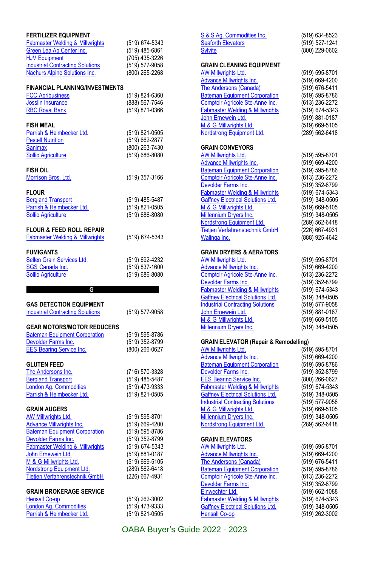| <b>FERTILIZER EQUIPMENT</b><br><b>Fabmaster Welding &amp; Millwrights</b><br>Green Lea Ag Center Inc.<br><b>HJV Equipment</b><br><b>Industrial Contracting Solutions</b><br><b>Nachurs Alpine Solutions Inc.</b>                                                                                                 | (519) 674-5343<br>(519) 485-6861<br>(705) 435-3226<br>(519) 577-9058<br>(800) 265-2268                                                                         |
|------------------------------------------------------------------------------------------------------------------------------------------------------------------------------------------------------------------------------------------------------------------------------------------------------------------|----------------------------------------------------------------------------------------------------------------------------------------------------------------|
| <b>FINANCIAL PLANNING/INVESTMENTS</b><br><b>FCC Agribusiness</b><br>Josslin Insurance<br><b>RBC Royal Bank</b>                                                                                                                                                                                                   | (519) 824-6360<br>(888) 567-7546<br>(519) 871-0366                                                                                                             |
| <b>FISH MEAL</b><br>Parrish & Heimbecker Ltd.<br><b>Pestell Nutrition</b><br><b>Sanimax</b><br><b>Sollio Agriculture</b>                                                                                                                                                                                         | (519) 821-0505<br>(519) 662-2877<br>(800) 263-7430<br>(519) 686-8080                                                                                           |
| FISH OIL<br>Morrison Bros. Ltd.                                                                                                                                                                                                                                                                                  | (519) 357-3166                                                                                                                                                 |
| <b>FLOUR</b><br><b>Bergland Transport</b><br>Parrish & Heimbecker Ltd.<br>Sollio Agriculture                                                                                                                                                                                                                     | (519) 485-5487<br>(519) 821-0505<br>(519) 686-8080                                                                                                             |
| <b>FLOUR &amp; FEED ROLL REPAIR</b><br><b>Fabmaster Welding &amp; Millwrights</b>                                                                                                                                                                                                                                | (519) 674-5343                                                                                                                                                 |
| <b>FUMIGANTS</b><br>Sellen Grain Services Ltd.<br>SGS Canada Inc.<br><b>Sollio Agriculture</b>                                                                                                                                                                                                                   | (519) 692-4232<br>(519) 837-1600<br>(519) 686-8080                                                                                                             |
|                                                                                                                                                                                                                                                                                                                  |                                                                                                                                                                |
| G                                                                                                                                                                                                                                                                                                                |                                                                                                                                                                |
| <b>GAS DETECTION EQUIPMENT</b><br><b>Industrial Contracting Solutions</b>                                                                                                                                                                                                                                        | (519) 577-9058                                                                                                                                                 |
| <b>GEAR MOTORS/MOTOR REDUCERS</b><br><b>Bateman Equipment Corporation</b><br>Devolder Farms Inc.<br><b>EES Bearing Service Inc.</b>                                                                                                                                                                              | (519) 595-8786<br>(519) 352-8799<br>(800) 266-0627                                                                                                             |
| <b>GLUTEN FEED</b><br>The Andersons Inc.<br><b>Bergland Transport</b><br>London Ag. Commodities<br>Parrish & Heimbecker Ltd.                                                                                                                                                                                     | (716) 570-3328<br>(519) 485-5487<br>(519) 473-9333<br>(519) 821-0505                                                                                           |
| <b>GRAIN AUGERS</b><br><b>AW Millwrights Ltd.</b><br>Advance Millwrights Inc.<br><b>Bateman Equipment Corporation</b><br>Devolder Farms Inc.<br><b>Fabmaster Welding &amp; Millwrights</b><br><b>John Ernewein Ltd.</b><br>M & G Millwrights Ltd.<br>Nordstrong Equipment Ltd.<br>Tietjen Verfahrenstechnik GmbH | (519) 595-8701<br>(519) 669-4200<br>(519) 595-8786<br>(519) 352-8799<br>(519) 674-5343<br>(519) 881-0187<br>(519) 669-5105<br>(289) 562-6418<br>(226) 667-4931 |

| S & S Ag. Commodities Inc.                       | (519) 634-8523 |
|--------------------------------------------------|----------------|
| Seaforth Elevators                               | (519) 527-1241 |
| <b>Sylvite</b>                                   | (800) 229-0602 |
|                                                  |                |
| <b>GRAIN CLEANING EQUIPMENT</b>                  |                |
| AW Millwrights Ltd.                              | (519) 595-8701 |
| <b>Advance Millwrights Inc.</b>                  | (519) 669-4200 |
| The Andersons (Canada)                           | (519) 676-5411 |
| <b>Bateman Equipment Corporation</b>             | (519) 595-8786 |
| Comptoir Agricole Ste-Anne Inc.                  | (613) 236-2272 |
| <b>Fabmaster Welding &amp; Millwrights</b>       | (519) 674-5343 |
| John Ernewein Ltd.                               | (519) 881-0187 |
| M & G Millwrights Ltd.                           | (519) 669-5105 |
| Nordstrong Equipment Ltd.                        | (289) 562-6418 |
|                                                  |                |
| <b>GRAIN CONVEYORS</b>                           |                |
|                                                  |                |
| AW Millwrights Ltd.                              | (519) 595-8701 |
| <b>Advance Millwrights Inc.</b>                  | (519) 669-4200 |
| <b>Bateman Equipment Corporation</b>             | (519) 595-8786 |
| Comptoir Agricole Ste-Anne Inc.                  | (613) 236-2272 |
| Devolder Farms Inc.                              | (519) 352-8799 |
| <b>Fabmaster Welding &amp; Millwrights</b>       | (519) 674-5343 |
| <b>Gaffney Electrical Solutions Ltd.</b>         | (519) 348-0505 |
| M & G Millwrights Ltd.                           | (519) 669-5105 |
| Millennium Dryers Inc.                           | (519) 348-0505 |
| Nordstrong Equipment Ltd.                        | (289) 562-6418 |
| Tietien Verfahrenstechnik GmbH                   | (226) 667-4931 |
| Walinga Inc.                                     | (888) 925-4642 |
|                                                  |                |
| <b>GRAIN DRYERS &amp; AERATORS</b>               |                |
| AW Millwrights Ltd.                              | (519) 595-8701 |
|                                                  |                |
| <b>Advance Millwrights Inc.</b>                  | (519) 669-4200 |
| Comptoir Agricole Ste-Anne Inc.                  | (613) 236-2272 |
| Devolder Farms Inc.                              | (519) 352-8799 |
| <b>Fabmaster Welding &amp; Millwrights</b>       | (519) 674-5343 |
| <b>Gaffney Electrical Solutions Ltd.</b>         | (519) 348-0505 |
| <b>Industrial Contracting Solutions</b>          | (519) 577-9058 |
| John Ernewein Ltd.                               | (519) 881-0187 |
| M & G Millwrights Ltd.                           | (519) 669-5105 |
| <b>Millennium Dryers Inc.</b>                    | (519) 348-0505 |
|                                                  |                |
| <b>GRAIN ELEVATOR (Repair &amp; Remodelling)</b> |                |
| <u>AW Millwrights Ltd.</u>                       | (519) 595-8701 |
| Advance Millwrights Inc.                         | (519) 669-4200 |
| <b>Bateman Equipment Corporation</b>             | (519) 595-8786 |
| Devolder Farms Inc.                              | (519) 352-8799 |
| <b>EES Bearing Service Inc.</b>                  | (800) 266-0627 |
| <b>Fabmaster Welding &amp; Millwrights</b>       | (519) 674-5343 |
| <b>Gaffney Electrical Solutions Ltd.</b>         | (519) 348-0505 |
| <b>Industrial Contracting Solutions</b>          | (519) 577-9058 |
| M & G Millwrights Ltd.                           | (519) 669-5105 |
|                                                  |                |
| <b>Millennium Dryers Inc.</b>                    | (519) 348-0505 |
| Nordstrong Equipment Ltd.                        | (289) 562-6418 |
|                                                  |                |
| <b>GRAIN ELEVATORS</b>                           |                |
| <b>AW Millwrights Ltd.</b>                       | (519) 595-8701 |
| <b>Advance Millwrights Inc.</b>                  | (519) 669-4200 |
| The Andersons (Canada)                           | (519) 676-5411 |
| <b>Bateman Equipment Corporation</b>             | (519) 595-8786 |
| Comptoir Agricole Ste-Anne Inc.                  | (613) 236-2272 |
| Devolder Farms Inc.                              | (519) 352-8799 |
| Einwechter Ltd.                                  | (519) 662-1088 |
| <b>Fabmaster Welding &amp; Millwrights</b>       | (519) 674-5343 |
| <b>Gaffney Electrical Solutions Ltd.</b>         | (519) 348-0505 |
| <b>Hensall Co-op</b>                             | (519) 262-3002 |
|                                                  |                |
|                                                  |                |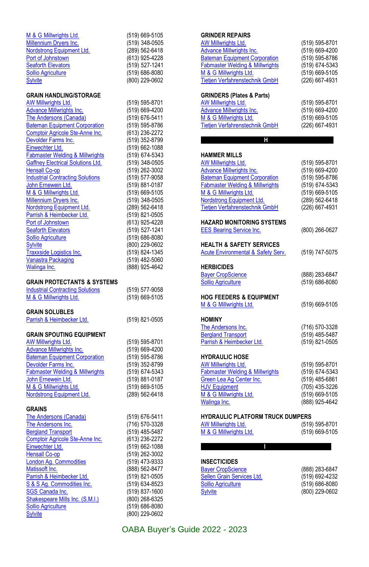| M & G Millwrights Ltd.                                                                 | (519) 669-5105                   |
|----------------------------------------------------------------------------------------|----------------------------------|
| <b>Millennium Dryers Inc.</b>                                                          | (519) 348-0505                   |
| Nordstrong Equipment Ltd.                                                              | (289) 562-6418                   |
| Port of Johnstown                                                                      | (613) 925-4228                   |
| <b>Seaforth Elevators</b>                                                              | (519) 527-1241                   |
| Sollio Agriculture                                                                     | (519) 686-8080                   |
| <b>Sylvite</b>                                                                         | (800) 229-0602                   |
| <b>GRAIN HANDLING/STORAGE</b>                                                          |                                  |
| AW Millwrights Ltd.                                                                    | (519) 595-8701                   |
| <b>Advance Millwrights Inc.</b>                                                        | (519) 669-4200                   |
| The Andersons (Canada)                                                                 | (519) 676-5411                   |
| <b>Bateman Equipment Corporation</b>                                                   | (519) 595-8786                   |
| Comptoir Agricole Ste-Anne Inc.                                                        | (613) 236-2272                   |
| Devolder Farms Inc.                                                                    | (519) 352-8799                   |
| Einwechter Ltd.                                                                        | (519) 662-1088                   |
| <b>Fabmaster Welding &amp; Millwrights</b><br><b>Gaffney Electrical Solutions Ltd.</b> | (519) 674-5343                   |
| <b>Hensall Co-op</b>                                                                   | (519) 348-0505<br>(519) 262-3002 |
| <b>Industrial Contracting Solutions</b>                                                | (519) 577-9058                   |
| John Ernewein Ltd.                                                                     | (519) 881-0187                   |
| M & G Millwrights Ltd.                                                                 | (519) 669-5105                   |
| <b>Millennium Dryers Inc.</b>                                                          | (519) 348-0505                   |
| Nordstrong Equipment Ltd.                                                              | (289) 562-6418                   |
| Parrish & Heimbecker Ltd.                                                              | (519) 821-0505                   |
| Port of Johnstown                                                                      | (613) 925-4228                   |
| <b>Seaforth Elevators</b>                                                              | (519) 527-1241                   |
| <b>Sollio Agriculture</b>                                                              | (519) 686-8080                   |
| <b>Sylvite</b>                                                                         | (800) 229-0602                   |
| Traxxside Logistics Inc.<br><b>Vanastra Packaging</b>                                  | (519) 824-1345                   |
| Walinga Inc.                                                                           | (519) 482-5060<br>(888) 925-4642 |
|                                                                                        |                                  |
| <b>GRAIN PROTECTANTS &amp; SYSTEMS</b>                                                 |                                  |
|                                                                                        |                                  |
| <b>Industrial Contracting Solutions</b>                                                | (519) 577-9058                   |
| M & G Millwrights Ltd.                                                                 | (519) 669-5105                   |
| <b>GRAIN SOLUBLES</b>                                                                  |                                  |
| Parrish & Heimbecker Ltd.                                                              | (519) 821-0505                   |
|                                                                                        |                                  |
| <b>GRAIN SPOUTING EQUIPMENT</b>                                                        |                                  |
| AW Millwrights Ltd.                                                                    | (519) 595-8701                   |
| <b>Advance Millwrights Inc.</b>                                                        | (519) 669-4200                   |
| <b>Bateman Equipment Corporation</b><br>Devolder Farms Inc.                            | (519) 595-8786<br>(519) 352-8799 |
| <b>Fabmaster Welding &amp; Millwrights</b>                                             | (519) 674-5343                   |
| John Ernewein Ltd.                                                                     | (519) 881-0187                   |
| M & G Millwrights Ltd.                                                                 | (519) 669-5105                   |
| <b>Nordstrong Equipment Ltd.</b>                                                       | (289) 562-6418                   |
|                                                                                        |                                  |
| <b>GRAINS</b>                                                                          | (519) 676-5411                   |
| <b>The Andersons (Canada)</b><br>The Andersons Inc.                                    | (716) 570-3328                   |
| <b>Bergland Transport</b>                                                              | (519) 485-5487                   |
| Comptoir Agricole Ste-Anne Inc.                                                        | (613) 236-2272                   |
| Einwechter Ltd.                                                                        | (519) 662-1088                   |
| Hensall Co-op                                                                          | (519) 262-3002                   |
| <b>London Ag. Commodities</b>                                                          | (519) 473-9333                   |
| Matissoft Inc.                                                                         | (888) 562-8477                   |
| Parrish & Heimbecker Ltd.                                                              | (519) 821-0505                   |
| S & S Aq. Commodities Inc.                                                             | (519) 634-8523<br>(519) 837-1600 |
| SGS Canada Inc.<br>Shakespeare Mills Inc. (S.M.I.)                                     | (800) 268-6325                   |
| <b>Sollio Agriculture</b><br><b>Sylvite</b>                                            | (519) 686-8080<br>(800) 229-0602 |

#### **GRINDER REPAIRS**

| <b>AW Millwrights Ltd.</b><br><b>Advance Millwrights Inc.</b>            | (519) 595-8701<br>(519) 669-4200 |
|--------------------------------------------------------------------------|----------------------------------|
| <b>Bateman Equipment Corporation</b>                                     | (519) 595-8786                   |
| Fabmaster Welding & Millwrights                                          | (519) 674-5343                   |
| M & G Millwrights Ltd.                                                   | (519) 669-5105                   |
| Tietjen Verfahrenstechnik GmbH                                           | (226) 667-4931                   |
|                                                                          |                                  |
| GRINDERS (Plates & Parts)<br>AW Millwrights Ltd.                         | (519) 595-8701                   |
| Advance Millwrights Inc.                                                 | (519) 669-4200                   |
| M & G Millwrights Ltd.                                                   | (519) 669-5105                   |
| Tietjen Verfahrenstechnik GmbH                                           | (226) 667-4931                   |
| Н                                                                        |                                  |
|                                                                          |                                  |
| HAMMER MILLS                                                             |                                  |
| AW Millwrights Ltd.                                                      | (519) 595-8701                   |
| <b>Advance Millwrights Inc.</b>                                          | (519) 669-4200                   |
| <b>Bateman Equipment Corporation</b>                                     | (519) 595-8786                   |
| <b>Fabmaster Welding &amp; Millwrights</b>                               | (519) 674-5343                   |
| M & G Millwrights Ltd.<br>Nordstrong Equipment Ltd.                      | (519) 669-5105                   |
| Tietjen Verfahrenstechnik GmbH                                           | (289) 562-6418<br>(226) 667-4931 |
|                                                                          |                                  |
| HAZARD MONITORING SYSTEMS                                                |                                  |
| <b>EES Bearing Service Inc.</b>                                          | (800) 266-0627                   |
| HEALTH & SAFETY SERVICES                                                 |                                  |
| <b>Acute Environmental &amp; Safety Serv.</b>                            | (519) 747-5075                   |
| <b>HERBICIDES</b>                                                        |                                  |
| <b>Bayer CropScience</b>                                                 | (888) 283-6847                   |
| <b>Sollio Agriculture</b>                                                | (519) 686-8080                   |
| <b>HOG FEEDERS &amp; EQUIPMENT</b>                                       |                                  |
| M & G Millwrights Ltd.                                                   | (519) 669-5105                   |
|                                                                          |                                  |
| HOMINY<br>The Andersons Inc.                                             | (716) 570-3328                   |
| <b>Bergland Transport</b>                                                | (519) 485-5487                   |
| Parrish & Heimbecker Ltd.                                                | (519) 821-0505                   |
|                                                                          |                                  |
| <b>HYDRAULIC HOSE</b>                                                    |                                  |
| <b>AW Millwrights Ltd.</b><br><b>Fabmaster Welding &amp; Millwrights</b> | (519) 595-8701                   |
| Green Lea Ag Center Inc.                                                 | (519) 674-5343<br>(519) 485-6861 |
| <b>HJV Equipment</b>                                                     | (705) 435-3226                   |
| M & G Millwrights Ltd.                                                   | (519) 669-5105                   |
| Walinga Inc.                                                             | (888) 925-4642                   |
|                                                                          |                                  |
| HYDRAULIC PLATFORM TRUCK DUMPERS<br>AW Millwrights Ltd.                  | (519) 595-8701                   |
| M & G Millwrights Ltd.                                                   | (519) 669-5105                   |
|                                                                          |                                  |
| I                                                                        |                                  |

### **INSECTICIDES**

| (888) 283-6847 |
|----------------|
| (519) 692-4232 |
| (519) 686-8080 |
| (800) 229-0602 |
|                |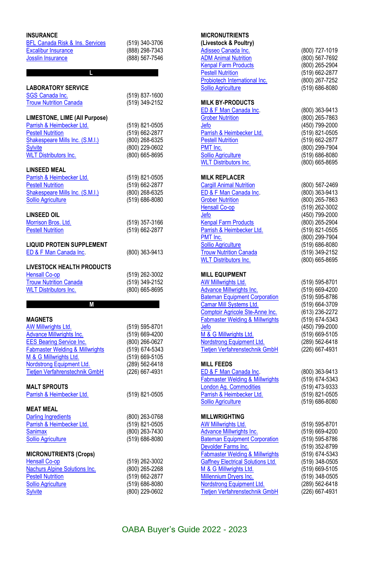| <b>INSURANCE</b>                           |                  | <b>MICRONUTRIENTS</b>                      |                |
|--------------------------------------------|------------------|--------------------------------------------|----------------|
| <b>BFL Canada Risk &amp; Ins. Services</b> | (519) 340-3706   | (Livestock & Poultry)                      |                |
| <b>Excalibur Insurance</b>                 | (888) 298-7343   | Adisseo Canada Inc.                        | (800) 727-1019 |
| <b>Josslin Insurance</b>                   | (888) 567-7546   | <b>ADM Animal Nutrition</b>                | (800) 567-7692 |
|                                            |                  | <b>Kenpal Farm Products</b>                | (800) 265-2904 |
| L.                                         |                  | <b>Pestell Nutrition</b>                   | (519) 662-2877 |
|                                            |                  | Probiotech International Inc.              | (800) 267-7252 |
| <b>LABORATORY SERVICE</b>                  |                  | <b>Sollio Agriculture</b>                  | (519) 686-8080 |
| <b>SGS Canada Inc.</b>                     | (519) 837-1600   |                                            |                |
| <b>Trouw Nutrition Canada</b>              | (519) 349-2152   | <b>MILK BY-PRODUCTS</b>                    |                |
|                                            |                  | ED & F Man Canada Inc.                     | (800) 363-9413 |
| LIMESTONE, LIME (All Purpose)              |                  | <b>Grober Nutrition</b>                    | (800) 265-7863 |
| Parrish & Heimbecker Ltd.                  | (519) 821-0505   | Jefo                                       | (450) 799-2000 |
| <b>Pestell Nutrition</b>                   | (519) 662-2877   | Parrish & Heimbecker Ltd.                  | (519) 821-0505 |
| Shakespeare Mills Inc. (S.M.I.)            | (800) 268-6325   | <b>Pestell Nutrition</b>                   | (519) 662-2877 |
| <b>Sylvite</b>                             | (800) 229-0602   | PMT Inc.                                   | (800) 299-7904 |
| <b>WLT</b> Distributors Inc.               | (800) 665-8695   | <b>Sollio Agriculture</b>                  | (519) 686-8080 |
|                                            |                  | <b>WLT Distributors Inc.</b>               | (800) 665-8695 |
| <b>LINSEED MEAL</b>                        |                  |                                            |                |
| Parrish & Heimbecker Ltd.                  | (519) 821-0505   | <b>MILK REPLACER</b>                       |                |
| <b>Pestell Nutrition</b>                   | (519) 662-2877   | <b>Cargill Animal Nutrition</b>            | (800) 567-2469 |
| Shakespeare Mills Inc. (S.M.I.)            | (800) 268-6325   | ED & F Man Canada Inc.                     | (800) 363-9413 |
| <b>Sollio Agriculture</b>                  | (519) 686-8080   | <b>Grober Nutrition</b>                    | (800) 265-7863 |
|                                            |                  | <b>Hensall Co-op</b>                       | (519) 262-3002 |
| <b>LINSEED OIL</b>                         |                  | Jefo                                       | (450) 799-2000 |
| Morrison Bros. Ltd.                        | (519) 357-3166   | <b>Kenpal Farm Products</b>                | (800) 265-2904 |
| <b>Pestell Nutrition</b>                   | (519) 662-2877   | Parrish & Heimbecker Ltd.                  | (519) 821-0505 |
|                                            |                  | PMT Inc.                                   | (800) 299-7904 |
| <b>LIQUID PROTEIN SUPPLEMENT</b>           |                  | <b>Sollio Agriculture</b>                  | (519) 686-8080 |
| ED & F Man Canada Inc.                     | (800) 363-9413   | <b>Trouw Nutrition Canada</b>              | (519) 349-2152 |
|                                            |                  | <b>WLT Distributors Inc.</b>               | (800) 665-8695 |
| LIVESTOCK HEALTH PRODUCTS                  |                  |                                            |                |
| <b>Hensall Co-op</b>                       | (519) 262-3002   | <b>MILL EQUIPMENT</b>                      |                |
| <b>Trouw Nutrition Canada</b>              | (519) 349-2152   | <b>AW Millwrights Ltd.</b>                 | (519) 595-8701 |
| <b>WLT Distributors Inc.</b>               | (800) 665-8695   | <b>Advance Millwrights Inc.</b>            | (519) 669-4200 |
|                                            |                  | <b>Bateman Equipment Corporation</b>       | (519) 595-8786 |
| M                                          |                  | <b>Camar Mill Systems Ltd.</b>             | (519) 664-3709 |
|                                            |                  | Comptoir Agricole Ste-Anne Inc.            | (613) 236-2272 |
| <b>MAGNETS</b>                             |                  | <b>Fabmaster Welding &amp; Millwrights</b> | (519) 674-5343 |
| AW Millwrights Ltd.                        | (519) 595-8701   | Jefo                                       | (450) 799-2000 |
| <b>Advance Millwrights Inc.</b>            | (519) 669-4200   | M & G Millwrights Ltd.                     | (519) 669-5105 |
| <b>EES Bearing Service Inc.</b>            | (800) 266-0627   | Nordstrong Equipment Ltd.                  | (289) 562-6418 |
| <b>Fabmaster Welding &amp; Millwrights</b> | (519) 674-5343   | Tietjen Verfahrenstechnik GmbH             | (226) 667-4931 |
| M & G Millwrights Ltd.                     | (519) 669-5105   |                                            |                |
| Nordstrong Equipment Ltd.                  | (289) 562-6418   | <b>MILL FEEDS</b>                          |                |
| Tietjen Verfahrenstechnik GmbH             | (226) 667-4931   | ED & F Man Canada Inc.                     | (800) 363-9413 |
|                                            |                  | <b>Fabmaster Welding &amp; Millwrights</b> | (519) 674-5343 |
| <b>MALT SPROUTS</b>                        |                  | London Aq. Commodities                     | (519) 473-9333 |
| Parrish & Heimbecker Ltd.                  | (519) 821-0505   | Parrish & Heimbecker Ltd.                  | (519) 821-0505 |
|                                            |                  | <b>Sollio Agriculture</b>                  | (519) 686-8080 |
| <b>MEAT MEAL</b>                           |                  |                                            |                |
| <b>Darling Ingredients</b>                 | (800) 263-0768   | <b>MILLWRIGHTING</b>                       |                |
| Parrish & Heimbecker Ltd.                  | (519) 821-0505   | AW Millwrights Ltd.                        | (519) 595-8701 |
| <b>Sanimax</b>                             | (800) 263-7430   | Advance Millwrights Inc.                   | (519) 669-4200 |
| <b>Sollio Agriculture</b>                  | $(519)$ 686-8080 | <b>Bateman Equipment Corporation</b>       | (519) 595-8786 |
|                                            |                  | Devolder Farms Inc.                        | (519) 352-8799 |
| <b>MICRONUTRIENTS (Crops)</b>              |                  | <b>Fabmaster Welding &amp; Millwrights</b> | (519) 674-5343 |
| <b>Hensall Co-op</b>                       | (519) 262-3002   | <b>Gaffney Electrical Solutions Ltd.</b>   | (519) 348-0505 |
| <b>Nachurs Alpine Solutions Inc.</b>       | (800) 265-2268   | M & G Millwrights Ltd.                     | (519) 669-5105 |
| <b>Pestell Nutrition</b>                   | (519) 662-2877   | Millennium Dryers Inc.                     | (519) 348-0505 |
| <b>Sollio Agriculture</b>                  | $(519)$ 686-8080 | Nordstrong Equipment Ltd.                  | (289) 562-6418 |
| <b>Sylvite</b>                             | (800) 229-0602   | <b>Tietjen Verfahrenstechnik GmbH</b>      | (226) 667-4931 |

### **MICRONUTRIENTS**

| (Livestock & Poultry)<br>Adisseo Canada Inc.<br><b>ADM Animal Nutrition</b><br><b>Kenpal Farm Products</b><br><b>Pestell Nutrition</b><br>Probiotech International Inc.<br><b>Sollio Agriculture</b>                                                                                                                                        | (800) 727-1019<br>(800) 567-7692<br>(800) 265-2904<br>(519) 662-2877<br>(800) 267-7252<br>(519) 686-8080                                                                                           |
|---------------------------------------------------------------------------------------------------------------------------------------------------------------------------------------------------------------------------------------------------------------------------------------------------------------------------------------------|----------------------------------------------------------------------------------------------------------------------------------------------------------------------------------------------------|
| <b>MILK BY-PRODUCTS</b><br>ED & F Man Canada Inc.<br><b>Grober Nutrition</b><br>Jefo<br>Parrish & Heimbecker Ltd.<br><b>Pestell Nutrition</b><br>PMT Inc.<br><b>Sollio Agriculture</b><br><b>WLT Distributors Inc.</b>                                                                                                                      | (800) 363-9413<br>(800) 265-7863<br>(450) 799-2000<br>(519) 821-0505<br>(519) 662-2877<br>(800) 299-7904<br>(519) 686-8080<br>(800) 665-8695                                                       |
| <b>MILK REPLACER</b><br><b>Cargill Animal Nutrition</b><br>ED & F Man Canada Inc.<br><b>Grober Nutrition</b><br><b>Hensall Co-op</b><br>Jefo<br><b>Kenpal Farm Products</b><br>Parrish & Heimbecker Ltd.<br>PMT Inc.<br>Sollio Agriculture<br><b>Trouw Nutrition Canada</b><br><b>WLT Distributors Inc.</b>                                 | (800) 567-2469<br>(800) 363-9413<br>(800) 265-7863<br>(519) 262-3002<br>(450) 799-2000<br>(800) 265-2904<br>(519) 821-0505<br>(800) 299-7904<br>(519) 686-8080<br>(519) 349-2152<br>(800) 665-8695 |
| <b>MILL EQUIPMENT</b><br><b>AW Millwrights Ltd.</b><br><b>Advance Millwrights Inc.</b><br><b>Bateman Equipment Corporation</b><br>Camar Mill Systems Ltd.<br>Comptoir Agricole Ste-Anne Inc.<br><b>Fabmaster Welding &amp; Millwrights</b><br>Jefo<br>M & G Millwrights Ltd.<br>Nordstrong Equipment Ltd.<br>Tietjen Verfahrenstechnik GmbH | (519) 595-8701<br>(519) 669-4200<br>(519) 595-8786<br>(519) 664-3709<br>(613) 236-2272<br>(519) 674-5343<br>(450) 799-2000<br>(519) 669-5105<br>(289) 562-6418<br>(226) 667-4931                   |
| <b>MILL FEEDS</b><br>ED & F Man Canada Inc.<br>Fabmaster Welding & Millwrights<br>London Ag. Commodities<br>Parrish & Heimbecker Ltd.<br><b>Sollio Agriculture</b>                                                                                                                                                                          | (800) 363-9413<br>(519) 674-5343<br>(519) 473-9333<br>(519) 821-0505<br>(519) 686-8080                                                                                                             |
| MILLWRIGHTING<br>AW Millwrights Ltd.<br><b>Advance Millwrights Inc.</b><br><b>Bateman Equipment Corporation</b><br>Devolder Farms Inc.<br><b>Fabmaster Welding &amp; Millwrights</b><br><b>Gaffney Electrical Solutions Ltd.</b><br>M & G Millwrights Ltd.<br>Millennium Dryers Inc.<br>Nordstrong Equipment Ltd                            | (519) 595-8701<br>(519) 669-4200<br>(519) 595-8786<br>(519) 352-8799<br>(519) 674-5343<br>(519) 348-0505<br>(519) 669-5105<br>(519) 348-0505<br>(289) 562-6418                                     |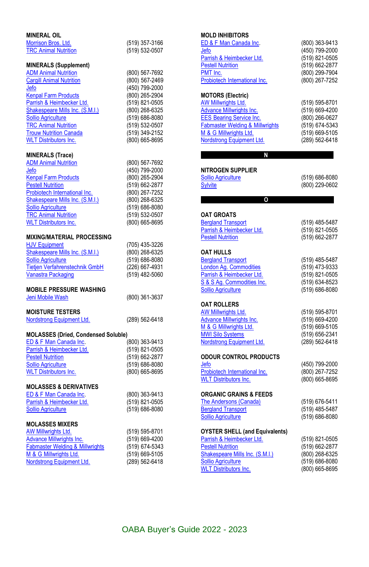| <b>MINERAL OIL</b>                                            |                                    |
|---------------------------------------------------------------|------------------------------------|
| Morrison Bros. Ltd.                                           | (519) 357-3166                     |
| <b>TRC Animal Nutrition</b>                                   | (519) 532-0507                     |
| <b>MINERALS (Supplement)</b>                                  |                                    |
| <b>ADM Animal Nutrition</b>                                   | (800) 567-7692                     |
| <b>Cargill Animal Nutrition</b>                               | (800) 567-2469                     |
| Jefo                                                          | (450) 799-2000                     |
| <b>Kenpal Farm Products</b><br>Parrish & Heimbecker Ltd.      | (800) 265-2904<br>(519) 821-0505   |
| Shakespeare Mills Inc. (S.M.I.)                               | (800) 268-6325                     |
| <b>Sollio Agriculture</b>                                     | (519) 686-8080                     |
| <b>TRC Animal Nutrition</b>                                   | (519) 532-0507                     |
| <b>Trouw Nutrition Canada</b><br><b>WLT Distributors Inc.</b> | (519) 349-2152<br>(800) 665-8695   |
|                                                               |                                    |
| MINERALS (Trace)                                              |                                    |
| <b>ADM Animal Nutrition</b><br>Jefo                           | (800) 567-7692                     |
| <b>Kenpal Farm Products</b>                                   | (450) 799-2000<br>(800) 265-2904   |
| <b>Pestell Nutrition</b>                                      | (519) 662-2877                     |
| Probiotech International Inc.                                 | (800) 267-7252                     |
| Shakespeare Mills Inc. (S.M.I.)                               | (800) 268-6325                     |
| Sollio Agriculture<br><b>TRC Animal Nutrition</b>             | $(519)$ 686-8080<br>(519) 532-0507 |
| <b>WLT Distributors Inc.</b>                                  | (800) 665-8695                     |
|                                                               |                                    |
| <b>MIXING/MATERIAL PROCESSING</b>                             |                                    |
| <b>HJV Equipment</b><br>Shakespeare Mills Inc. (S.M.I.)       | (705) 435-3226<br>(800) 268-6325   |
| <b>Sollio Agriculture</b>                                     | (519) 686-8080                     |
| Tietjen Verfahrenstechnik GmbH                                | (226) 667-4931                     |
| <b>Vanastra Packaging</b>                                     | (519) 482-5060                     |
| <b>MOBILE PRESSURE WASHING</b>                                |                                    |
| Jeni Mobile Wash                                              | (800) 361-3637                     |
|                                                               |                                    |
| <b>MOISTURE TESTERS</b><br>Nordstrong Equipment Ltd.          | (289) 562-6418                     |
|                                                               |                                    |
| <b>MOLASSES (Dried, Condensed Soluble)</b>                    |                                    |
| ED & F Man Canada Inc.<br>Parrish & Heimbecker Ltd.           | (800) 363-9413<br>(519) 821-0505   |
| <b>Pestell Nutrition</b>                                      | (519) 662-2877                     |
| <b>Sollio Agriculture</b>                                     | (519) 686-8080                     |
| <b>WLT Distributors Inc.</b>                                  | (800) 665-8695                     |
| <b>MOLASSES &amp; DERIVATIVES</b>                             |                                    |
| ED & F Man Canada Inc.                                        | (800) 363-9413                     |
| Parrish & Heimbecker Ltd.                                     | (519) 821-0505                     |
| <b>Sollio Agriculture</b>                                     | (519) 686-8080                     |
| <b>MOLASSES MIXERS</b>                                        |                                    |
| AW Millwrights I td                                           | (519) 595-8701                     |

| AW Millwrights Ltd.                        | (519) 595-8701 |
|--------------------------------------------|----------------|
| <b>Advance Millwrights Inc.</b>            | (519) 669-4200 |
| <b>Fabmaster Welding &amp; Millwrights</b> | (519) 674-5343 |
| M & G Millwrights Ltd.                     | (519) 669-5105 |
| Nordstrong Equipment Ltd.                  | (289) 562-6418 |
|                                            |                |

#### **MOLD INHIBITORS**

| ED & F Man Canada Inc.                                                        | (800) 363-9413                   |
|-------------------------------------------------------------------------------|----------------------------------|
| Jefo                                                                          | (450) 799-2000                   |
| Parrish & Heimbecker Ltd.<br><b>Pestell Nutrition</b>                         | (519) 821-0505                   |
| PMT Inc.                                                                      | (519) 662-2877<br>(800) 299-7904 |
| Probiotech International Inc.                                                 | (800) 267-7252                   |
|                                                                               |                                  |
| <b>MOTORS (Electric)</b>                                                      |                                  |
| AW Millwrights Ltd.                                                           | (519) 595-8701                   |
| <b>Advance Millwrights Inc.</b>                                               | (519) 669-4200                   |
| <b>EES Bearing Service Inc.</b><br><b>Fabmaster Welding &amp; Millwrights</b> | (800) 266-0627<br>(519) 674-5343 |
| M & G Millwrights Ltd.                                                        | (519) 669-5105                   |
| Nordstrong Equipment Ltd.                                                     | (289) 562-6418                   |
|                                                                               |                                  |
| N                                                                             |                                  |
| <b>NITROGEN SUPPLIER</b>                                                      |                                  |
| <b>Sollio Agriculture</b>                                                     | (519) 686-8080                   |
| <b>Sylvite</b>                                                                | (800) 229-0602                   |
|                                                                               |                                  |
| $\circ$                                                                       |                                  |
| <b>OAT GROATS</b>                                                             |                                  |
| <b>Bergland Transport</b>                                                     | (519) 485-5487                   |
| Parrish & Heimbecker Ltd.                                                     | (519) 821-0505                   |
| <b>Pestell Nutrition</b>                                                      | (519) 662-2877                   |
|                                                                               |                                  |
| <b>OAT HULLS</b>                                                              |                                  |
| <b>Bergland Transport</b>                                                     | (519) 485-5487                   |
| London Ag. Commodities<br>Parrish & Heimbecker Ltd.                           | (519) 473-9333                   |
| S & S Ag. Commodities Inc.                                                    | (519) 821-0505<br>(519) 634-8523 |
| <b>Sollio Agriculture</b>                                                     | (519) 686-8080                   |
|                                                                               |                                  |
| <b>OAT ROLLERS</b>                                                            |                                  |
| <b>AW Millwrights Ltd.</b>                                                    | (519) 595-8701                   |
| <b>Advance Millwrights Inc.</b>                                               | (519) 669-4200                   |
| M & G Millwrights Ltd.                                                        | (519) 669-5105                   |
| <b>MWI Silo Systems</b><br>Nordstrong Equipment Ltd.                          | (519) 656-2341<br>(289) 562-6418 |
|                                                                               |                                  |
| <b>ODOUR CONTROL PRODUCTS</b>                                                 |                                  |
| Jefo                                                                          | (450) 799-2000                   |
| Probiotech International Inc.                                                 | (800) 267-7252                   |
| <b>WLT Distributors Inc.</b>                                                  | (800) 665-8695                   |
| <b>ORGANIC GRAINS &amp; FEEDS</b>                                             |                                  |
| The Andersons (Canada)                                                        | (519) 676-5411                   |
| <b>Bergland Transport</b>                                                     | (519) 485-5487                   |
| <b>Sollio Agriculture</b>                                                     | (519) 686-8080                   |
|                                                                               |                                  |
| <b>OYSTER SHELL (and Equivalents)</b>                                         |                                  |
| Parrish & Heimbecker Ltd.<br><b>Pestell Nutrition</b>                         | (519) 821-0505                   |
| Shakespeare Mills Inc. (S.M.I.)                                               | (519) 662-2877<br>(800) 268-6325 |
| <b>Sollio Agriculture</b>                                                     | (519) 686-8080                   |
| <b>WLT Distributors Inc.</b>                                                  | (800) 665-8695                   |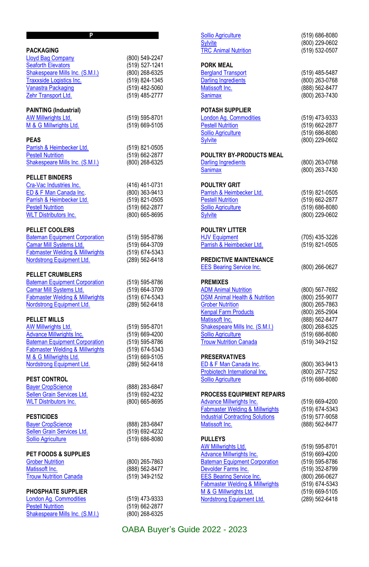| <b>PACKAGING</b>                                         |                                  |
|----------------------------------------------------------|----------------------------------|
| <b>Lloyd Bag Company</b>                                 | (800) 549-2247                   |
| <b>Seaforth Elevators</b>                                | (519) 527-1241                   |
| Shakespeare Mills Inc. (S.M.I.)                          | (800) 268-6325                   |
| <b>Traxxside Logistics Inc.</b>                          | (519) 824-1345                   |
| Vanastra Packaging                                       | (519) 482-5060                   |
| Zehr Transport Ltd.                                      | (519) 485-2777                   |
|                                                          |                                  |
| PAINTING (Industrial)                                    |                                  |
| <b>AW Millwrights Ltd.</b>                               | (519) 595-8701                   |
| M & G Millwrights Ltd.                                   | (519) 669-5105                   |
| <b>PEAS</b>                                              |                                  |
| Parrish & Heimbecker Ltd.                                | (519) 821-0505                   |
| <b>Pestell Nutrition</b>                                 | (519) 662-2877                   |
| Shakespeare Mills Inc. (S.M.I.)                          | (800) 268-6325                   |
|                                                          |                                  |
| <b>PELLET BINDERS</b>                                    |                                  |
| Cra-Vac Industries Inc.                                  | (416) 461-0731                   |
| ED & F Man Canada Inc.                                   | (800) 363-9413                   |
| Parrish & Heimbecker Ltd.                                | (519) 821-0505                   |
| <b>Pestell Nutrition</b><br><b>WLT Distributors Inc.</b> | (519) 662-2877<br>(800) 665-8695 |
|                                                          |                                  |
| <b>PELLET COOLERS</b>                                    |                                  |
| <b>Bateman Equipment Corporation</b>                     | (519) 595-8786                   |
| Camar Mill Systems Ltd.                                  | (519) 664-3709                   |
| <b>Fabmaster Welding &amp; Millwrights</b>               | (519) 674-5343                   |
| Nordstrong Equipment Ltd.                                | (289) 562-6418                   |
|                                                          |                                  |
| <b>PELLET CRUMBLERS</b>                                  |                                  |
| <b>Bateman Equipment Corporation</b>                     | (519) 595-8786                   |
| Camar Mill Systems Ltd.                                  | (519) 664-3709                   |
| <b>Fabmaster Welding &amp; Millwrights</b>               | (519) 674-5343                   |
| Nordstrong Equipment Ltd.                                | (289) 562-6418                   |
| <b>PELLET MILLS</b>                                      |                                  |
| AW Millwrights Ltd.                                      | (519) 595-8701                   |
| <b>Advance Millwrights Inc.</b>                          | (519) 669-4200                   |
| <b>Bateman Equipment Corporation</b>                     | (519) 595-8786                   |
| <b>Fabmaster Welding &amp; Millwrights</b>               | (519) 674-5343                   |
| M & G Millwrights Ltd.                                   | (519) 669-5105                   |
| Nordstrong Equipment Ltd.                                | (289) 562-6418                   |
| <b>PEST CONTROL</b>                                      |                                  |
| <b>Bayer CropScience</b>                                 | (888) 283-6847                   |
| Sellen Grain Services Ltd.                               | (519) 692-4232                   |
| <b>WLT</b> Distributors Inc.                             | (800) 665-8695                   |
|                                                          |                                  |
| <b>PESTICIDES</b>                                        |                                  |
| <b>Bayer CropScience</b>                                 | (888) 283-6847                   |
| Sellen Grain Services Ltd.                               | (519) 692-4232                   |
| <b>Sollio Agriculture</b>                                | (519) 686-8080                   |
| PET FOODS & SUPPLIES                                     |                                  |
| <b>Grober Nutrition</b>                                  | (800) 265-7863                   |
| Matissoft Inc.                                           | (888) 562-8477                   |
| <b>Trouw Nutrition Canada</b>                            | (519) 349-2152                   |
|                                                          |                                  |
| <b>PHOSPHATE SUPPLIER</b>                                |                                  |
| London Ag. Commodities                                   | (519) 473-9333                   |
| <b>Pestell Nutrition</b>                                 | (519) 662-2877                   |
| Shakespeare Mills Inc. (S.M.I.)                          | (800) 268-6325                   |
|                                                          |                                  |

| <u>Sollio Agriculture</u>                              | (519) 686-8080                   |
|--------------------------------------------------------|----------------------------------|
| <b>Sylvite</b>                                         | (800) 229-0602                   |
| <b>TRC Animal Nutrition</b>                            | (519) 532-0507                   |
| <b>PORK MEAL</b>                                       |                                  |
| <b>Bergland Transport</b>                              | (519) 485-5487                   |
| <b>Darling Ingredients</b>                             | (800) 263-0768                   |
| Matissoft Inc.                                         | (888) 562-8477                   |
| <b>Sanimax</b>                                         | (800) 263-7430                   |
|                                                        |                                  |
| POTASH SUPPLIER                                        |                                  |
| London Ag. Commodities                                 | (519) 473-9333                   |
| <b>Pestell Nutrition</b>                               | (519) 662-2877                   |
| <b>Sollio Agriculture</b>                              | (519) 686-8080                   |
| <b>Sylvite</b>                                         | (800) 229-0602                   |
| <b>POULTRY BY-PRODUCTS MEAL</b>                        |                                  |
| <b>Darling Ingredients</b>                             | (800) 263-0768                   |
| Sanimax                                                | (800) 263-7430                   |
|                                                        |                                  |
| POULTRY GRIT<br>Parrish & Heimbecker Ltd.              | (519) 821-0505                   |
|                                                        |                                  |
| <b>Pestell Nutrition</b>                               | (519) 662-2877                   |
| Sollio Agriculture<br><b>Sylvite</b>                   | (519) 686-8080                   |
|                                                        | (800) 229-0602                   |
| <b>POULTRY LITTER</b>                                  |                                  |
| <b>HJV Equipment</b>                                   | (705) 435-3226                   |
| Parrish & Heimbecker Ltd.                              | (519) 821-0505                   |
| <b>PREDICTIVE MAINTENANCE</b>                          |                                  |
| <b>EES Bearing Service Inc.</b>                        | (800) 266-0627                   |
|                                                        |                                  |
| PREMIXES                                               |                                  |
| <b>ADM Animal Nutrition</b>                            | (800) 567-7692                   |
| <b>DSM Animal Health &amp; Nutrition</b>               | (800) 255-9077                   |
| <b>Grober Nutrition</b>                                | (800) 265-7863                   |
| <b>Kenpal Farm Products</b>                            | (800) 265-2904                   |
| Matissoft Inc.                                         | (888) 562-8477                   |
| Shakespeare Mills Inc. (S.M.I.)                        | (800) 268-6325                   |
| Sollio Agriculture                                     | (519) 686-8080                   |
| <b>Trouw Nutrition Canada</b>                          | (519) 349-2152                   |
|                                                        |                                  |
| <b>PRESERVATIVES</b><br>ED & F Man Canada Inc.         | (800) 363-9413                   |
| Probiotech International Inc.                          | (800) 267-7252                   |
| Sollio Agriculture                                     |                                  |
|                                                        | $(519) 686 - 8080$               |
| <b>PROCESS EQUIPMENT REPAIRS</b>                       |                                  |
| Advance Millwrights Inc.                               | $(519)$ 669-4200                 |
| Fabmaster Welding & Millwrights                        | (519) 674-5343                   |
| <b>Industrial Contracting Solutions</b>                | (519) 577-9058                   |
| Matissoft Inc.                                         | (888) 562-8477                   |
|                                                        |                                  |
| <b>PULLEYS</b><br>AW Millwrights Ltd.                  | (519) 595-8701                   |
| <b>Advance Millwrights Inc.</b>                        | (519) 669-4200                   |
| <b>Bateman Equipment Corporation</b>                   | (519) 595-8786                   |
|                                                        |                                  |
| Devolder Farms Inc.<br><b>EES Bearing Service Inc.</b> | (519) 352-8799<br>(800) 266-0627 |
|                                                        |                                  |
| Fabmaster Welding & Millwrights                        | (519) 674-5343                   |
| M & G Millwrights Ltd.<br>Nordstrong Equipment Ltd.    | (519) 669-5105                   |
|                                                        | (289) 562-6418                   |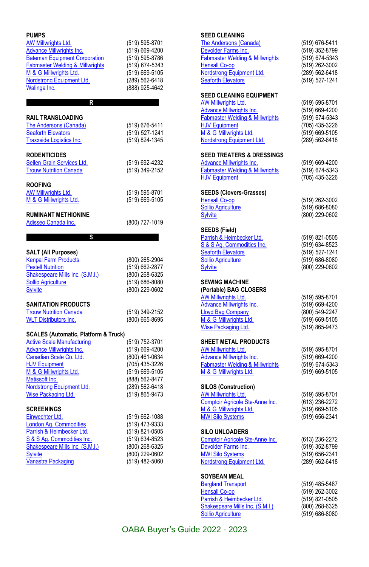| <b>PUMPS</b>                               |                                  |
|--------------------------------------------|----------------------------------|
| AW Millwrights Ltd.                        | (519) 595-8701                   |
| <b>Advance Millwrights Inc.</b>            | (519) 669-4200                   |
| <b>Bateman Equipment Corporation</b>       | (519) 595-8786                   |
| <b>Fabmaster Welding &amp; Millwrights</b> | (519) 674-5343                   |
| M & G Millwrights Ltd.                     | (519) 669-5105                   |
| Nordstrong Equipment Ltd.                  | (289) 562-6418                   |
| Walinga Inc.                               | (888) 925-4642                   |
|                                            |                                  |
| R                                          |                                  |
|                                            |                                  |
| RAIL TRANSLOADING                          |                                  |
| The Andersons (Canada)                     | (519) 676-5411                   |
| <b>Seaforth Elevators</b>                  | (519) 527-1241                   |
| Traxxside Logistics Inc.                   | (519) 824-1345                   |
| <b>RODENTICIDES</b>                        |                                  |
| Sellen Grain Services Ltd.                 |                                  |
| <b>Trouw Nutrition Canada</b>              | (519) 692-4232                   |
|                                            | (519) 349-2152                   |
| <b>ROOFING</b>                             |                                  |
| AW Millwrights Ltd.                        | (519) 595-8701                   |
| M & G Millwrights Ltd.                     | (519) 669-5105                   |
|                                            |                                  |
| <b>RUMINANT METHIONINE</b>                 |                                  |
| Adisseo Canada Inc.                        | (800) 727-1019                   |
|                                            |                                  |
| s                                          |                                  |
|                                            |                                  |
| SALT (All Purposes)                        |                                  |
| <b>Kenpal Farm Products</b>                | (800) 265-2904                   |
| <b>Pestell Nutrition</b>                   | (519) 662-2877                   |
| Shakespeare Mills Inc. (S.M.I.)            | (800) 268-6325                   |
| <b>Sollio Agriculture</b>                  | (519) 686-8080                   |
| <b>Sylvite</b>                             | (800) 229-0602                   |
| <b>SANITATION PRODUCTS</b>                 |                                  |
| <b>Trouw Nutrition Canada</b>              | (519) 349-2152                   |
| <b>WLT Distributors Inc.</b>               | (800) 665-8695                   |
|                                            |                                  |
| SCALES (Automatic, Platform & Truck)       |                                  |
| <b>Active Scale Manufacturing</b>          | (519) 752-3701                   |
| <b>Advance Millwrights Inc.</b>            | (519) 669-4200                   |
| Canadian Scale Co. Ltd.                    | (800) 461-0634                   |
| <b>HJV Equipment</b>                       | (705) 435-3226                   |
| M & G Millwrights Ltd.                     | (519) 669-5105                   |
| Matissoft Inc.                             | (888) 562-8477                   |
| Nordstrong Equipment Ltd.                  | (289) 562-6418                   |
| Wise Packaging Ltd.                        | (519) 865-9473                   |
|                                            |                                  |
| <b>SCREENINGS</b>                          |                                  |
| Einwechter Ltd.                            | (519) 662-1088                   |
| <b>London Ag. Commodities</b>              | (519) 473-9333                   |
| Parrish & Heimbecker Ltd.                  | (519) 821-0505                   |
| S & S Ag. Commodities Inc.                 |                                  |
|                                            | (519) 634-8523                   |
| Shakespeare Mills Inc. (S.M.I.)            | (800) 268-6325                   |
| Sylvite<br>Vanastra Packaging              | (800) 229-0602<br>(519) 482-5060 |

| <b>SEED CLEANING</b>                                                          |                                  |
|-------------------------------------------------------------------------------|----------------------------------|
| <b>The Andersons (Canada)</b>                                                 | (519) 676-5411                   |
| Devolder Farms Inc.                                                           | (519) 352-8799                   |
| Fabmaster Welding & Millwrights                                               | (519) 674-5343                   |
| <b>Hensall Co-op</b>                                                          | (519) 262-3002                   |
| Nordstrong Equipment Ltd.                                                     | (289) 562-6418                   |
| <b>Seaforth Elevators</b>                                                     | (519) 527-1241                   |
|                                                                               |                                  |
| <b>SEED CLEANING EQUIPMENT</b>                                                |                                  |
| AW Millwrights Ltd.                                                           | (519) 595-8701                   |
| <b>Advance Millwrights Inc.</b>                                               | (519) 669-4200                   |
| <b>Fabmaster Welding &amp; Millwrights</b>                                    | (519) 674-5343                   |
| <b>HJV Equipment</b>                                                          | (705) 435-3226                   |
| M & G Millwrights Ltd.                                                        |                                  |
|                                                                               | (519) 669-5105                   |
| Nordstrong Equipment Ltd.                                                     | (289) 562-6418                   |
| <b>SEED TREATERS &amp; DRESSINGS</b>                                          |                                  |
| <b>Advance Millwrights Inc.</b>                                               | (519) 669-4200                   |
| <b>Fabmaster Welding &amp; Millwrights</b>                                    | (519) 674-5343                   |
| <b>HJV Equipment</b>                                                          | (705) 435-3226                   |
|                                                                               |                                  |
| <b>SEEDS (Clovers-Grasses)</b>                                                |                                  |
| <b>Hensall Co-op</b>                                                          | (519) 262-3002                   |
| <b>Sollio Agriculture</b>                                                     | (519) 686-8080                   |
|                                                                               |                                  |
| <b>Sylvite</b>                                                                | (800) 229-0602                   |
| SEEDS (Field)                                                                 |                                  |
| Parrish & Heimbecker Ltd.                                                     | (519) 821-0505                   |
| S & S Ag. Commodities Inc.                                                    |                                  |
|                                                                               | (519) 634-8523                   |
| <b>Seaforth Elevators</b>                                                     | (519) 527-1241                   |
| <b>Sollio Agriculture</b>                                                     | (519) 686-8080                   |
| <b>Sylvite</b>                                                                | (800) 229-0602                   |
|                                                                               |                                  |
| <b>SEWING MACHINE</b><br>(Portable) BAG CLOSERS<br><b>AW Millwrights Ltd.</b> | (519) 595-8701                   |
| <b>Advance Millwrights Inc.</b>                                               | (519) 669-4200                   |
| <b>Lloyd Bag Company</b>                                                      | (800) 549-2247                   |
| M & G Millwrights Ltd.                                                        | (519) 669-5105                   |
| <b>Wise Packaging Ltd.</b>                                                    | (519) 865-9473                   |
|                                                                               |                                  |
| SHEET METAL PRODUCTS                                                          |                                  |
| <b>AW Millwrights Ltd.</b>                                                    | (519) 595-8701                   |
| <b>Advance Millwrights Inc.</b>                                               | (519) 669-4200                   |
| <b>Fabmaster Welding &amp; Millwrights</b>                                    | (519) 674-5343                   |
| M & G Millwrights Ltd.                                                        | (519) 669-5105                   |
|                                                                               |                                  |
| <b>SILOS (Construction)</b>                                                   |                                  |
| <b>AW Millwrights Ltd.</b>                                                    | (519) 595-8701                   |
| Comptoir Agricole Ste-Anne Inc.                                               | (613) 236-2272                   |
| M & G Millwrights Ltd.                                                        | (519) 669-5105                   |
| <b>MWI Silo Systems</b>                                                       | (519) 656-2341                   |
|                                                                               |                                  |
| SILO UNLOADERS                                                                |                                  |
| Comptoir Agricole Ste-Anne Inc.                                               | (613) 236-2272                   |
| Devolder Farms Inc.                                                           | (519) 352-8799                   |
| <b>MWI Silo Systems</b>                                                       | (519) 656-2341                   |
| Nordstrong Equipment Ltd.                                                     | (289) 562-6418                   |
|                                                                               |                                  |
| <b>SOYBEAN MEAL</b>                                                           |                                  |
| <b>Bergland Transport</b>                                                     | (519) 485-5487                   |
| <b>Hensall Co-op</b>                                                          | (519) 262-3002                   |
| Parrish & Heimbecker Ltd.                                                     | (519) 821-0505                   |
| Shakespeare Mills Inc. (S.M.I.)<br><b>Sollio Agriculture</b>                  | (800) 268-6325<br>(519) 686-8080 |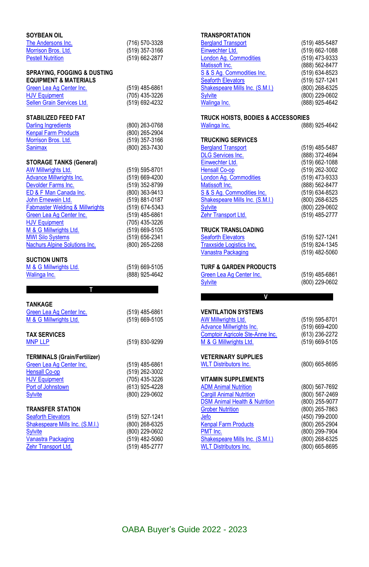| SOYBEAN OIL                                                                |                                  |
|----------------------------------------------------------------------------|----------------------------------|
| The Andersons Inc.                                                         | (716) 570-3328                   |
| Morrison Bros. Ltd.                                                        | (519) 357-3166                   |
| <b>Pestell Nutrition</b>                                                   | (519) 662-2877                   |
| <b>SPRAYING, FOGGING &amp; DUSTING</b><br><b>EQUIPMENT &amp; MATERIALS</b> |                                  |
| Green Lea Ag Center Inc.                                                   | (519) 485-6861                   |
| <b>HJV Equipment</b>                                                       | (705) 435-3226                   |
| Sellen Grain Services Ltd.                                                 | (519) 692-4232                   |
| STABILIZED FEED FAT                                                        |                                  |
| <b>Darling Ingredients</b>                                                 | (800) 263-0768                   |
| <b>Kenpal Farm Products</b>                                                | (800) 265-2904                   |
| Morrison Bros. Ltd.                                                        | (519) 357-3166                   |
| <b>Sanimax</b>                                                             | (800) 263-7430                   |
|                                                                            |                                  |
| <b>STORAGE TANKS (General)</b>                                             |                                  |
| AW Millwrights Ltd.                                                        | (519) 595-8701                   |
| <b>Advance Millwrights Inc.</b>                                            | (519) 669-4200                   |
| Devolder Farms Inc.                                                        | (519) 352-8799                   |
| ED & F Man Canada Inc.                                                     | (800) 363-9413                   |
| John Ernewein Ltd.                                                         | (519) 881-0187                   |
| <b>Fabmaster Welding &amp; Millwrights</b>                                 | (519) 674-5343                   |
| Green Lea Ag Center Inc.<br><b>HJV Equipment</b>                           | (519) 485-6861<br>(705) 435-3226 |
| M & G Millwrights Ltd.                                                     | (519) 669-5105                   |
| <b>MWI Silo Systems</b>                                                    | (519) 656-2341                   |
| <b>Nachurs Alpine Solutions Inc.</b>                                       | (800) 265-2268                   |
|                                                                            |                                  |
| <b>SUCTION UNITS</b>                                                       |                                  |
| M & G Millwrights Ltd.                                                     | (519) 669-5105                   |
| Walinga Inc.                                                               | (888) 925-4642                   |
| т                                                                          |                                  |
|                                                                            |                                  |
| TANKAGE<br>Green Lea Ag Center Inc.                                        | (519) 485-6861                   |
| M & G Millwrights Ltd.                                                     | (519) 669-5105                   |
|                                                                            |                                  |
| <b>TAX SERVICES</b>                                                        |                                  |
| <b>MNP LLP</b>                                                             | (519) 830-9299                   |
|                                                                            |                                  |
| <b>TERMINALS (Grain/Fertilizer)</b>                                        |                                  |
| Green Lea Ag Center Inc.                                                   | (519) 485-6861                   |
| <b>Hensall Co-op</b>                                                       | (519) 262-3002                   |
| <b>HJV Equipment</b>                                                       | (705) 435-3226                   |
| Port of Johnstown                                                          | (613) 925-4228                   |
| <b>Sylvite</b>                                                             | (800) 229-0602                   |
| <b>TRANSFER STATION</b>                                                    |                                  |
| <b>Seaforth Elevators</b>                                                  | (519) 527-1241                   |
| Shakespeare Mills Inc. (S.M.I.)                                            | (800) 268-6325                   |
| <b>Sylvite</b>                                                             | (800) 229-0602                   |
| <b>Vanastra Packaging</b>                                                  | (519) 482-5060                   |

[Vanastra Packaging](http://www.vanastrapackaging.com/) (519) 482-5060<br>
<u>Zehr Transport Ltd.</u> (519) 485-2777

[Zehr Transport Ltd.](http://www.oaba.on.ca/files/Zehr%20writeup.pdf)

### **TRANSPORTATION**

| <b>Bergland Transport</b>       | (519) 485-5487 |
|---------------------------------|----------------|
| Einwechter Ltd.                 | (519) 662-1088 |
| London Aq. Commodities          | (519) 473-9333 |
| Matissoft Inc.                  | (888) 562-8477 |
| S & S Aq. Commodities Inc.      | (519) 634-8523 |
| <b>Seaforth Elevators</b>       | (519) 527-1241 |
| Shakespeare Mills Inc. (S.M.I.) | (800) 268-6325 |
| <b>Sylvite</b>                  | (800) 229-0602 |
| Walinga Inc.                    | (888) 925-4642 |
|                                 |                |

# **TRUCK HOISTS, BODIES & ACCESSORIES**

(888) 925-4642

#### **TRUCKING SERVICES**

| <b>Bergland Transport</b>       | (519) 485-5487 |
|---------------------------------|----------------|
| <b>DLG Services Inc.</b>        | (888) 372-4694 |
| Einwechter Ltd.                 | (519) 662-1088 |
| <b>Hensall Co-op</b>            | (519) 262-3002 |
| <b>London Ag. Commodities</b>   | (519) 473-9333 |
| Matissoft Inc.                  | (888) 562-8477 |
| S & S Ag. Commodities Inc.      | (519) 634-8523 |
| Shakespeare Mills Inc. (S.M.I.) | (800) 268-6325 |
| <b>Sylvite</b>                  | (800) 229-0602 |
| Zehr Transport Ltd.             | (519) 485-2777 |
| <b>TRUCK TRANSLOADING</b>       |                |
| <b>Seaforth Elevators</b>       | (519) 527-1241 |
| Trayyeide Logistics Inc.        | (519) 824-1345 |

| <b>Traxxside Logistics Inc.</b>                    | (519) 824-1345 |
|----------------------------------------------------|----------------|
| Vanastra Packaging                                 | (519) 482-5060 |
| TURF & GARDEN PRODUCTS<br>Green Lea Ag Center Inc. | (519) 485-6861 |

[Sylvite](https://sylvite.ca/) (800) 229-0602

#### **…………………………..….V……………………………….**

| <b>VENTILATION SYSTEMS</b>               |                |
|------------------------------------------|----------------|
| <b>AW Millwrights Ltd.</b>               | (519) 595-8701 |
| <b>Advance Millwrights Inc.</b>          | (519) 669-4200 |
| Comptoir Agricole Ste-Anne Inc.          | (613) 236-2272 |
| M & G Millwrights Ltd.                   | (519) 669-5105 |
| <b>VETERINARY SUPPLIES</b>               |                |
| <b>WLT</b> Distributors Inc.             | (800) 665-8695 |
| VITAMIN SUPPLEMENTS                      |                |
| <b>ADM Animal Nutrition</b>              | (800) 567-7692 |
| <b>Cargill Animal Nutrition</b>          | (800) 567-2469 |
| <b>DSM Animal Health &amp; Nutrition</b> | (800) 255-9077 |
| <b>Grober Nutrition</b>                  | (800) 265-7863 |
| Jefo                                     | (450) 799-2000 |
| <b>Kenpal Farm Products</b>              | (800) 265-2904 |
| PMT Inc.                                 | (800) 299-7904 |
| Shakespeare Mills Inc. (S.M.I.)          | (800) 268-6325 |
| <b>WLT Distributors Inc.</b>             | (800) 665-8695 |